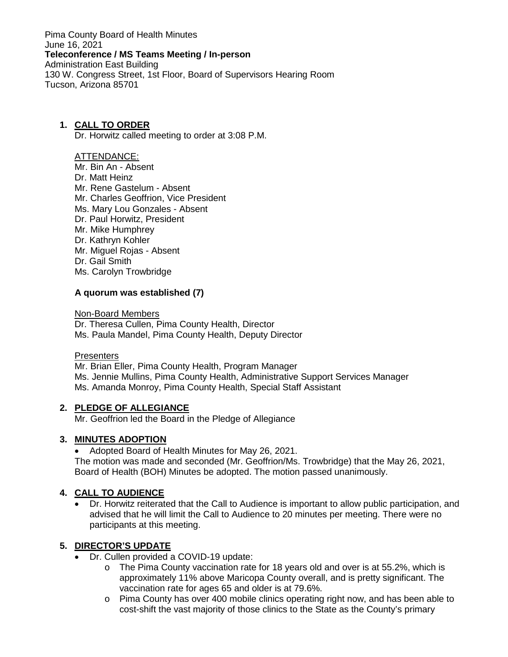Pima County Board of Health Minutes June 16, 2021 **Teleconference / MS Teams Meeting / In-person** Administration East Building 130 W. Congress Street, 1st Floor, Board of Supervisors Hearing Room Tucson, Arizona 85701

### **1. CALL TO ORDER**

Dr. Horwitz called meeting to order at 3:08 P.M.

#### ATTENDANCE:

Mr. Bin An - Absent Dr. Matt Heinz Mr. Rene Gastelum - Absent Mr. Charles Geoffrion, Vice President Ms. Mary Lou Gonzales - Absent Dr. Paul Horwitz, President Mr. Mike Humphrey Dr. Kathryn Kohler Mr. Miguel Rojas - Absent Dr. Gail Smith Ms. Carolyn Trowbridge

### **A quorum was established (7)**

Non-Board Members

Dr. Theresa Cullen, Pima County Health, Director Ms. Paula Mandel, Pima County Health, Deputy Director

#### **Presenters**

Mr. Brian Eller, Pima County Health, Program Manager Ms. Jennie Mullins, Pima County Health, Administrative Support Services Manager Ms. Amanda Monroy, Pima County Health, Special Staff Assistant

### **2. PLEDGE OF ALLEGIANCE**

Mr. Geoffrion led the Board in the Pledge of Allegiance

### **3. MINUTES ADOPTION**

• Adopted Board of Health Minutes for May 26, 2021.

The motion was made and seconded (Mr. Geoffrion/Ms. Trowbridge) that the May 26, 2021, Board of Health (BOH) Minutes be adopted. The motion passed unanimously.

### **4. CALL TO AUDIENCE**

• Dr. Horwitz reiterated that the Call to Audience is important to allow public participation, and advised that he will limit the Call to Audience to 20 minutes per meeting. There were no participants at this meeting.

### **5. DIRECTOR'S UPDATE**

- Dr. Cullen provided a COVID-19 update:
	- $\circ$  The Pima County vaccination rate for 18 years old and over is at 55.2%, which is approximately 11% above Maricopa County overall, and is pretty significant. The vaccination rate for ages 65 and older is at 79.6%.
	- o Pima County has over 400 mobile clinics operating right now, and has been able to cost-shift the vast majority of those clinics to the State as the County's primary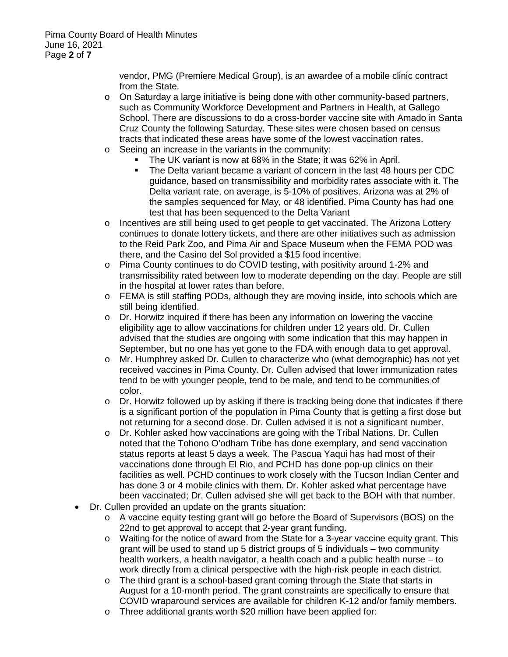vendor, PMG (Premiere Medical Group), is an awardee of a mobile clinic contract from the State.

- $\circ$  On Saturday a large initiative is being done with other community-based partners, such as Community Workforce Development and Partners in Health, at Gallego School. There are discussions to do a cross-border vaccine site with Amado in Santa Cruz County the following Saturday. These sites were chosen based on census tracts that indicated these areas have some of the lowest vaccination rates.
- o Seeing an increase in the variants in the community:
	- The UK variant is now at 68% in the State; it was 62% in April.
	- The Delta variant became a variant of concern in the last 48 hours per CDC guidance, based on transmissibility and morbidity rates associate with it. The Delta variant rate, on average, is 5-10% of positives. Arizona was at 2% of the samples sequenced for May, or 48 identified. Pima County has had one test that has been sequenced to the Delta Variant
- o Incentives are still being used to get people to get vaccinated. The Arizona Lottery continues to donate lottery tickets, and there are other initiatives such as admission to the Reid Park Zoo, and Pima Air and Space Museum when the FEMA POD was there, and the Casino del Sol provided a \$15 food incentive.
- o Pima County continues to do COVID testing, with positivity around 1-2% and transmissibility rated between low to moderate depending on the day. People are still in the hospital at lower rates than before.
- o FEMA is still staffing PODs, although they are moving inside, into schools which are still being identified.
- o Dr. Horwitz inquired if there has been any information on lowering the vaccine eligibility age to allow vaccinations for children under 12 years old. Dr. Cullen advised that the studies are ongoing with some indication that this may happen in September, but no one has yet gone to the FDA with enough data to get approval.
- o Mr. Humphrey asked Dr. Cullen to characterize who (what demographic) has not yet received vaccines in Pima County. Dr. Cullen advised that lower immunization rates tend to be with younger people, tend to be male, and tend to be communities of color.
- o Dr. Horwitz followed up by asking if there is tracking being done that indicates if there is a significant portion of the population in Pima County that is getting a first dose but not returning for a second dose. Dr. Cullen advised it is not a significant number.
- $\circ$  Dr. Kohler asked how vaccinations are going with the Tribal Nations. Dr. Cullen noted that the Tohono O'odham Tribe has done exemplary, and send vaccination status reports at least 5 days a week. The Pascua Yaqui has had most of their vaccinations done through El Rio, and PCHD has done pop-up clinics on their facilities as well. PCHD continues to work closely with the Tucson Indian Center and has done 3 or 4 mobile clinics with them. Dr. Kohler asked what percentage have been vaccinated; Dr. Cullen advised she will get back to the BOH with that number.
- Dr. Cullen provided an update on the grants situation:
	- o A vaccine equity testing grant will go before the Board of Supervisors (BOS) on the 22nd to get approval to accept that 2-year grant funding.
	- o Waiting for the notice of award from the State for a 3-year vaccine equity grant. This grant will be used to stand up 5 district groups of 5 individuals – two community health workers, a health navigator, a health coach and a public health nurse – to work directly from a clinical perspective with the high-risk people in each district.
	- o The third grant is a school-based grant coming through the State that starts in August for a 10-month period. The grant constraints are specifically to ensure that COVID wraparound services are available for children K-12 and/or family members.
	- o Three additional grants worth \$20 million have been applied for: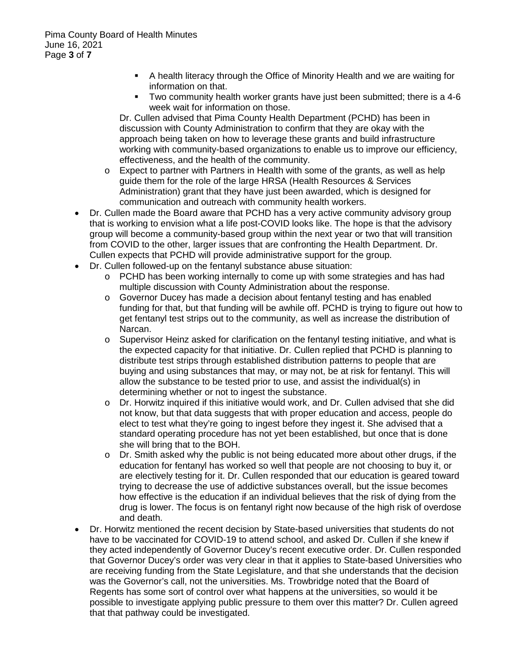- A health literacy through the Office of Minority Health and we are waiting for information on that.
- Two community health worker grants have just been submitted; there is a 4-6 week wait for information on those.

Dr. Cullen advised that Pima County Health Department (PCHD) has been in discussion with County Administration to confirm that they are okay with the approach being taken on how to leverage these grants and build infrastructure working with community-based organizations to enable us to improve our efficiency, effectiveness, and the health of the community.

- o Expect to partner with Partners in Health with some of the grants, as well as help guide them for the role of the large HRSA (Health Resources & Services Administration) grant that they have just been awarded, which is designed for communication and outreach with community health workers.
- Dr. Cullen made the Board aware that PCHD has a very active community advisory group that is working to envision what a life post-COVID looks like. The hope is that the advisory group will become a community-based group within the next year or two that will transition from COVID to the other, larger issues that are confronting the Health Department. Dr. Cullen expects that PCHD will provide administrative support for the group.
- Dr. Cullen followed-up on the fentanyl substance abuse situation:
	- o PCHD has been working internally to come up with some strategies and has had multiple discussion with County Administration about the response.
	- o Governor Ducey has made a decision about fentanyl testing and has enabled funding for that, but that funding will be awhile off. PCHD is trying to figure out how to get fentanyl test strips out to the community, as well as increase the distribution of Narcan.
	- o Supervisor Heinz asked for clarification on the fentanyl testing initiative, and what is the expected capacity for that initiative. Dr. Cullen replied that PCHD is planning to distribute test strips through established distribution patterns to people that are buying and using substances that may, or may not, be at risk for fentanyl. This will allow the substance to be tested prior to use, and assist the individual(s) in determining whether or not to ingest the substance.
	- o Dr. Horwitz inquired if this initiative would work, and Dr. Cullen advised that she did not know, but that data suggests that with proper education and access, people do elect to test what they're going to ingest before they ingest it. She advised that a standard operating procedure has not yet been established, but once that is done she will bring that to the BOH.
	- $\circ$  Dr. Smith asked why the public is not being educated more about other drugs, if the education for fentanyl has worked so well that people are not choosing to buy it, or are electively testing for it. Dr. Cullen responded that our education is geared toward trying to decrease the use of addictive substances overall, but the issue becomes how effective is the education if an individual believes that the risk of dying from the drug is lower. The focus is on fentanyl right now because of the high risk of overdose and death.
- Dr. Horwitz mentioned the recent decision by State-based universities that students do not have to be vaccinated for COVID-19 to attend school, and asked Dr. Cullen if she knew if they acted independently of Governor Ducey's recent executive order. Dr. Cullen responded that Governor Ducey's order was very clear in that it applies to State-based Universities who are receiving funding from the State Legislature, and that she understands that the decision was the Governor's call, not the universities. Ms. Trowbridge noted that the Board of Regents has some sort of control over what happens at the universities, so would it be possible to investigate applying public pressure to them over this matter? Dr. Cullen agreed that that pathway could be investigated.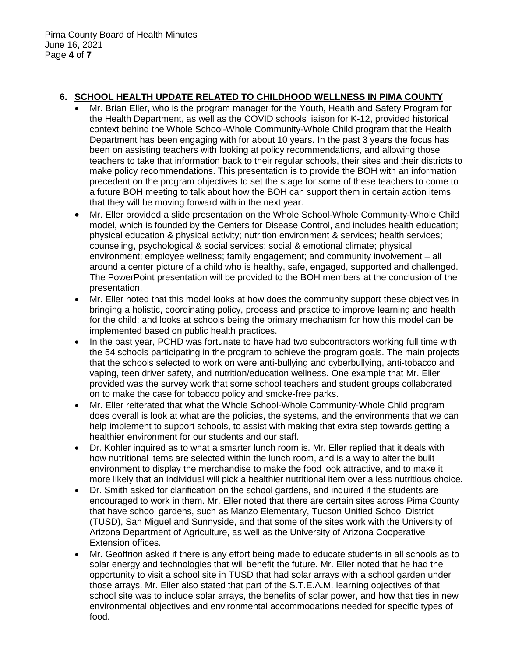### **6. SCHOOL HEALTH UPDATE RELATED TO CHILDHOOD WELLNESS IN PIMA COUNTY**

- Mr. Brian Eller, who is the program manager for the Youth, Health and Safety Program for the Health Department, as well as the COVID schools liaison for K-12, provided historical context behind the Whole School-Whole Community-Whole Child program that the Health Department has been engaging with for about 10 years. In the past 3 years the focus has been on assisting teachers with looking at policy recommendations, and allowing those teachers to take that information back to their regular schools, their sites and their districts to make policy recommendations. This presentation is to provide the BOH with an information precedent on the program objectives to set the stage for some of these teachers to come to a future BOH meeting to talk about how the BOH can support them in certain action items that they will be moving forward with in the next year.
- Mr. Eller provided a slide presentation on the Whole School-Whole Community-Whole Child model, which is founded by the Centers for Disease Control, and includes health education; physical education & physical activity; nutrition environment & services; health services; counseling, psychological & social services; social & emotional climate; physical environment; employee wellness; family engagement; and community involvement – all around a center picture of a child who is healthy, safe, engaged, supported and challenged. The PowerPoint presentation will be provided to the BOH members at the conclusion of the presentation.
- Mr. Eller noted that this model looks at how does the community support these objectives in bringing a holistic, coordinating policy, process and practice to improve learning and health for the child; and looks at schools being the primary mechanism for how this model can be implemented based on public health practices.
- In the past year, PCHD was fortunate to have had two subcontractors working full time with the 54 schools participating in the program to achieve the program goals. The main projects that the schools selected to work on were anti-bullying and cyberbullying, anti-tobacco and vaping, teen driver safety, and nutrition/education wellness. One example that Mr. Eller provided was the survey work that some school teachers and student groups collaborated on to make the case for tobacco policy and smoke-free parks.
- Mr. Eller reiterated that what the Whole School-Whole Community-Whole Child program does overall is look at what are the policies, the systems, and the environments that we can help implement to support schools, to assist with making that extra step towards getting a healthier environment for our students and our staff.
- Dr. Kohler inquired as to what a smarter lunch room is. Mr. Eller replied that it deals with how nutritional items are selected within the lunch room, and is a way to alter the built environment to display the merchandise to make the food look attractive, and to make it more likely that an individual will pick a healthier nutritional item over a less nutritious choice.
- Dr. Smith asked for clarification on the school gardens, and inquired if the students are encouraged to work in them. Mr. Eller noted that there are certain sites across Pima County that have school gardens, such as Manzo Elementary, Tucson Unified School District (TUSD), San Miguel and Sunnyside, and that some of the sites work with the University of Arizona Department of Agriculture, as well as the University of Arizona Cooperative Extension offices.
- Mr. Geoffrion asked if there is any effort being made to educate students in all schools as to solar energy and technologies that will benefit the future. Mr. Eller noted that he had the opportunity to visit a school site in TUSD that had solar arrays with a school garden under those arrays. Mr. Eller also stated that part of the S.T.E.A.M. learning objectives of that school site was to include solar arrays, the benefits of solar power, and how that ties in new environmental objectives and environmental accommodations needed for specific types of food.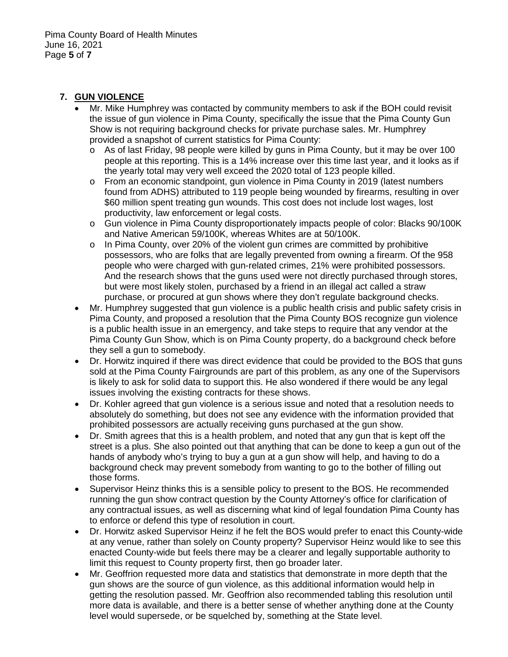### **7. GUN VIOLENCE**

- Mr. Mike Humphrey was contacted by community members to ask if the BOH could revisit the issue of gun violence in Pima County, specifically the issue that the Pima County Gun Show is not requiring background checks for private purchase sales. Mr. Humphrey provided a snapshot of current statistics for Pima County:
	- o As of last Friday, 98 people were killed by guns in Pima County, but it may be over 100 people at this reporting. This is a 14% increase over this time last year, and it looks as if the yearly total may very well exceed the 2020 total of 123 people killed.
	- o From an economic standpoint, gun violence in Pima County in 2019 (latest numbers found from ADHS) attributed to 119 people being wounded by firearms, resulting in over \$60 million spent treating gun wounds. This cost does not include lost wages, lost productivity, law enforcement or legal costs.
	- o Gun violence in Pima County disproportionately impacts people of color: Blacks 90/100K and Native American 59/100K, whereas Whites are at 50/100K.
	- $\circ$  In Pima County, over 20% of the violent gun crimes are committed by prohibitive possessors, who are folks that are legally prevented from owning a firearm. Of the 958 people who were charged with gun-related crimes, 21% were prohibited possessors. And the research shows that the guns used were not directly purchased through stores, but were most likely stolen, purchased by a friend in an illegal act called a straw purchase, or procured at gun shows where they don't regulate background checks.
- Mr. Humphrey suggested that gun violence is a public health crisis and public safety crisis in Pima County, and proposed a resolution that the Pima County BOS recognize gun violence is a public health issue in an emergency, and take steps to require that any vendor at the Pima County Gun Show, which is on Pima County property, do a background check before they sell a gun to somebody.
- Dr. Horwitz inquired if there was direct evidence that could be provided to the BOS that guns sold at the Pima County Fairgrounds are part of this problem, as any one of the Supervisors is likely to ask for solid data to support this. He also wondered if there would be any legal issues involving the existing contracts for these shows.
- Dr. Kohler agreed that gun violence is a serious issue and noted that a resolution needs to absolutely do something, but does not see any evidence with the information provided that prohibited possessors are actually receiving guns purchased at the gun show.
- Dr. Smith agrees that this is a health problem, and noted that any gun that is kept off the street is a plus. She also pointed out that anything that can be done to keep a gun out of the hands of anybody who's trying to buy a gun at a gun show will help, and having to do a background check may prevent somebody from wanting to go to the bother of filling out those forms.
- Supervisor Heinz thinks this is a sensible policy to present to the BOS. He recommended running the gun show contract question by the County Attorney's office for clarification of any contractual issues, as well as discerning what kind of legal foundation Pima County has to enforce or defend this type of resolution in court.
- Dr. Horwitz asked Supervisor Heinz if he felt the BOS would prefer to enact this County-wide at any venue, rather than solely on County property? Supervisor Heinz would like to see this enacted County-wide but feels there may be a clearer and legally supportable authority to limit this request to County property first, then go broader later.
- Mr. Geoffrion requested more data and statistics that demonstrate in more depth that the gun shows are the source of gun violence, as this additional information would help in getting the resolution passed. Mr. Geoffrion also recommended tabling this resolution until more data is available, and there is a better sense of whether anything done at the County level would supersede, or be squelched by, something at the State level.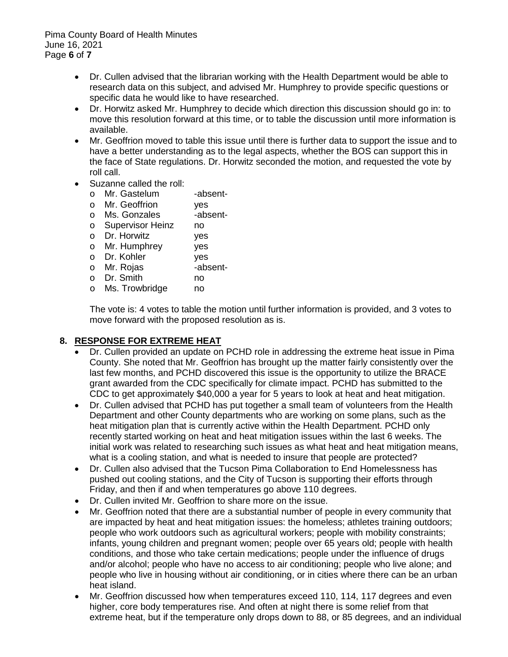Pima County Board of Health Minutes June 16, 2021 Page **6** of **7**

- Dr. Cullen advised that the librarian working with the Health Department would be able to research data on this subject, and advised Mr. Humphrey to provide specific questions or specific data he would like to have researched.
- Dr. Horwitz asked Mr. Humphrey to decide which direction this discussion should go in: to move this resolution forward at this time, or to table the discussion until more information is available.
- Mr. Geoffrion moved to table this issue until there is further data to support the issue and to have a better understanding as to the legal aspects, whether the BOS can support this in the face of State regulations. Dr. Horwitz seconded the motion, and requested the vote by roll call.
- Suzanne called the roll:
	- o Mr. Gastelum -absent-<br>o Mr. Geoffrion yes
	- o Mr. Geoffrion yes<br>o Ms. Gonzales -absent-
	- o Ms. Gonzales -ab<br>c Supervisor Heinz no
	- o Supervisor Heinz no
	- o Dr. Horwitz yes<br>o Mr. Humphrey yes
	- o Mr. Humphrey by yes<br>
	o Dr. Kohler by ves
	- o <mark>Dr. Kohler</mark> yes<br>o Mr. Roias -absent-
	- o Mr. Rojas -absent-
	- $o$  Dr. Smith
	- o Ms. Trowbridge no

The vote is: 4 votes to table the motion until further information is provided, and 3 votes to move forward with the proposed resolution as is.

### **8. RESPONSE FOR EXTREME HEAT**

- Dr. Cullen provided an update on PCHD role in addressing the extreme heat issue in Pima County. She noted that Mr. Geoffrion has brought up the matter fairly consistently over the last few months, and PCHD discovered this issue is the opportunity to utilize the BRACE grant awarded from the CDC specifically for climate impact. PCHD has submitted to the CDC to get approximately \$40,000 a year for 5 years to look at heat and heat mitigation.
- Dr. Cullen advised that PCHD has put together a small team of volunteers from the Health Department and other County departments who are working on some plans, such as the heat mitigation plan that is currently active within the Health Department. PCHD only recently started working on heat and heat mitigation issues within the last 6 weeks. The initial work was related to researching such issues as what heat and heat mitigation means, what is a cooling station, and what is needed to insure that people are protected?
- Dr. Cullen also advised that the Tucson Pima Collaboration to End Homelessness has pushed out cooling stations, and the City of Tucson is supporting their efforts through Friday, and then if and when temperatures go above 110 degrees.
- Dr. Cullen invited Mr. Geoffrion to share more on the issue.
- Mr. Geoffrion noted that there are a substantial number of people in every community that are impacted by heat and heat mitigation issues: the homeless; athletes training outdoors; people who work outdoors such as agricultural workers; people with mobility constraints; infants, young children and pregnant women; people over 65 years old; people with health conditions, and those who take certain medications; people under the influence of drugs and/or alcohol; people who have no access to air conditioning; people who live alone; and people who live in housing without air conditioning, or in cities where there can be an urban heat island.
- Mr. Geoffrion discussed how when temperatures exceed 110, 114, 117 degrees and even higher, core body temperatures rise. And often at night there is some relief from that extreme heat, but if the temperature only drops down to 88, or 85 degrees, and an individual